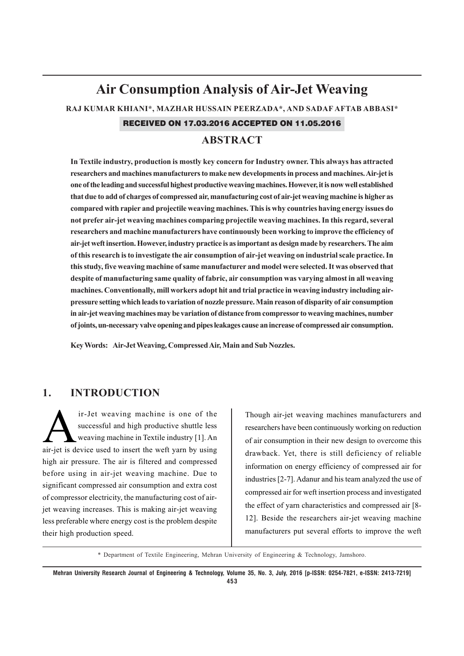# **Air Consumption Analysis of Air-Jet Weaving**

**RAJ KUMAR KHIANI\*, MAZHAR HUSSAIN PEERZADA\*, AND SADAF AFTAB ABBASI\***

RECEIVED ON 17.03.2016 ACCEPTED ON 11.05.2016

## **ABSTRACT**

**In Textile industry, production is mostly key concern for Industry owner. This always has attracted researchers and machines manufacturers to make new developments in process and machines. Air-jet is one of the leading and successful highest productive weaving machines. However, it is now well established that due to add of charges of compressed air, manufacturing cost of air-jet weaving machine is higher as compared with rapier and projectile weaving machines. This is why countries having energy issues do not prefer air-jet weaving machines comparing projectile weaving machines. In this regard, several researchers and machine manufacturers have continuously been working to improve the efficiency of air-jet weft insertion. However, industry practice is as important as design made by researchers. The aim of this research is to investigate the air consumption of air-jet weaving on industrial scale practice. In this study, five weaving machine of same manufacturer and model were selected. It was observed that despite of manufacturing same quality of fabric, air consumption was varying almost in all weaving machines. Conventionally, mill workers adopt hit and trial practice in weaving industry including airpressure setting which leads to variation of nozzle pressure. Main reason of disparity of air consumption in air-jet weaving machines may be variation of distance from compressor to weaving machines, number of joints, un-necessary valve opening and pipes leakages cause an increase of compressed air consumption.**

**Key Words: Air-Jet Weaving, Compressed Air, Main and Sub Nozzles.**

## **1. INTRODUCTION**

ir-Jet weaving machine is one of the<br>successful and high productive shuttle less<br>weaving machine in Textile industry [1]. An<br>air-iet is device used to insert the weft varn by using successful and high productive shuttle less weaving machine in Textile industry [1]. An air-jet is device used to insert the weft yarn by using high air pressure. The air is filtered and compressed before using in air-jet weaving machine. Due to significant compressed air consumption and extra cost of compressor electricity, the manufacturing cost of airjet weaving increases. This is making air-jet weaving less preferable where energy cost is the problem despite their high production speed.

Though air-jet weaving machines manufacturers and researchers have been continuously working on reduction of air consumption in their new design to overcome this drawback. Yet, there is still deficiency of reliable information on energy efficiency of compressed air for industries [2-7]. Adanur and his team analyzed the use of compressed air for weft insertion process and investigated the effect of yarn characteristics and compressed air [8- 12]. Beside the researchers air-jet weaving machine manufacturers put several efforts to improve the weft

<sup>\*</sup> Department of Textile Engineering, Mehran University of Engineering & Technology, Jamshoro.

**Mehran University Research Journal of Engineering & Technology, Volume 35, No. 3, July, 2016 [p-ISSN: 0254-7821, e-ISSN: 2413-7219] 453**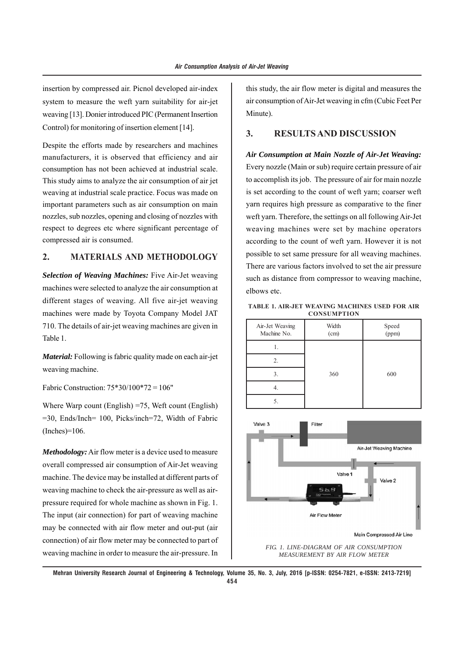insertion by compressed air. Picnol developed air-index system to measure the weft yarn suitability for air-jet weaving [13]. Donier introduced PIC (Permanent Insertion Control) for monitoring of insertion element [14].

Despite the efforts made by researchers and machines manufacturers, it is observed that efficiency and air consumption has not been achieved at industrial scale. This study aims to analyze the air consumption of air jet weaving at industrial scale practice. Focus was made on important parameters such as air consumption on main nozzles, sub nozzles, opening and closing of nozzles with respect to degrees etc where significant percentage of compressed air is consumed.

## **2. MATERIALS AND METHODOLOGY**

*Selection of Weaving Machines:* Five Air-Jet weaving machines were selected to analyze the air consumption at different stages of weaving. All five air-jet weaving machines were made by Toyota Company Model JAT 710. The details of air-jet weaving machines are given in Table 1.

*Material:* Following is fabric quality made on each air-jet weaving machine.

Fabric Construction: 75\*30/100\*72 = 106"

Where Warp count (English) =75, Weft count (English) =30, Ends/Inch= 100, Picks/inch=72, Width of Fabric (Inches)=106.

*Methodology:* Air flow meter is a device used to measure overall compressed air consumption of Air-Jet weaving machine. The device may be installed at different parts of weaving machine to check the air-pressure as well as airpressure required for whole machine as shown in Fig. 1. The input (air connection) for part of weaving machine may be connected with air flow meter and out-put (air connection) of air flow meter may be connected to part of weaving machine in order to measure the air-pressure. In this study, the air flow meter is digital and measures the air consumption of Air-Jet weaving in cfm (Cubic Feet Per Minute).

#### **3. RESULTS AND DISCUSSION**

*Air Consumption at Main Nozzle of Air-Jet Weaving:* Every nozzle (Main or sub) require certain pressure of air to accomplish its job. The pressure of air for main nozzle is set according to the count of weft yarn; coarser weft yarn requires high pressure as comparative to the finer weft yarn. Therefore, the settings on all following Air-Jet weaving machines were set by machine operators according to the count of weft yarn. However it is not possible to set same pressure for all weaving machines. There are various factors involved to set the air pressure such as distance from compressor to weaving machine, elbows etc.

**TABLE 1. AIR-JET WEAVING MACHINES USED FOR AIR CONSUMPTION**

| Air-Jet Weaving<br>Machine No. | Width<br>(cm) | Speed<br>(ppm) |  |
|--------------------------------|---------------|----------------|--|
|                                |               |                |  |
| 2.                             |               |                |  |
| 3.                             | 360           | 600            |  |
|                                |               |                |  |
|                                |               |                |  |



**Mehran University Research Journal of Engineering & Technology, Volume 35, No. 3, July, 2016 [p-ISSN: 0254-7821, e-ISSN: 2413-7219] 454**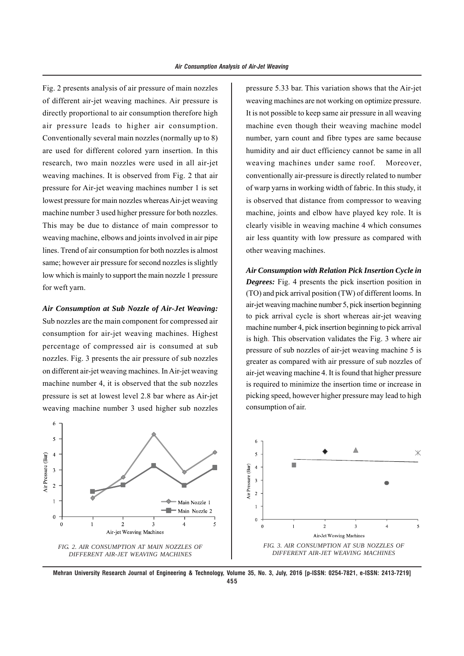Fig. 2 presents analysis of air pressure of main nozzles of different air-jet weaving machines. Air pressure is directly proportional to air consumption therefore high air pressure leads to higher air consumption. Conventionally several main nozzles (normally up to 8) are used for different colored yarn insertion. In this research, two main nozzles were used in all air-jet weaving machines. It is observed from Fig. 2 that air pressure for Air-jet weaving machines number 1 is set lowest pressure for main nozzles whereas Air-jet weaving machine number 3 used higher pressure for both nozzles. This may be due to distance of main compressor to weaving machine, elbows and joints involved in air pipe lines. Trend of air consumption for both nozzles is almost same; however air pressure for second nozzles is slightly low which is mainly to support the main nozzle 1 pressure for weft yarn.

*Air Consumption at Sub Nozzle of Air-Jet Weaving:* Sub nozzles are the main component for compressed air consumption for air-jet weaving machines. Highest percentage of compressed air is consumed at sub nozzles. Fig. 3 presents the air pressure of sub nozzles on different air-jet weaving machines. In Air-jet weaving machine number 4, it is observed that the sub nozzles pressure is set at lowest level 2.8 bar where as Air-jet weaving machine number 3 used higher sub nozzles pressure 5.33 bar. This variation shows that the Air-jet weaving machines are not working on optimize pressure. It is not possible to keep same air pressure in all weaving machine even though their weaving machine model number, yarn count and fibre types are same because humidity and air duct efficiency cannot be same in all weaving machines under same roof. Moreover, conventionally air-pressure is directly related to number of warp yarns in working width of fabric. In this study, it is observed that distance from compressor to weaving machine, joints and elbow have played key role. It is clearly visible in weaving machine 4 which consumes air less quantity with low pressure as compared with other weaving machines.

*Air Consumption with Relation Pick Insertion Cycle in Degrees:* Fig. 4 presents the pick insertion position in (TO) and pick arrival position (TW) of different looms. In air-jet weaving machine number 5, pick insertion beginning to pick arrival cycle is short whereas air-jet weaving machine number 4, pick insertion beginning to pick arrival is high. This observation validates the Fig. 3 where air pressure of sub nozzles of air-jet weaving machine 5 is greater as compared with air pressure of sub nozzles of air-jet weaving machine 4. It is found that higher pressure is required to minimize the insertion time or increase in picking speed, however higher pressure may lead to high consumption of air.



**Mehran University Research Journal of Engineering & Technology, Volume 35, No. 3, July, 2016 [p-ISSN: 0254-7821, e-ISSN: 2413-7219] 455**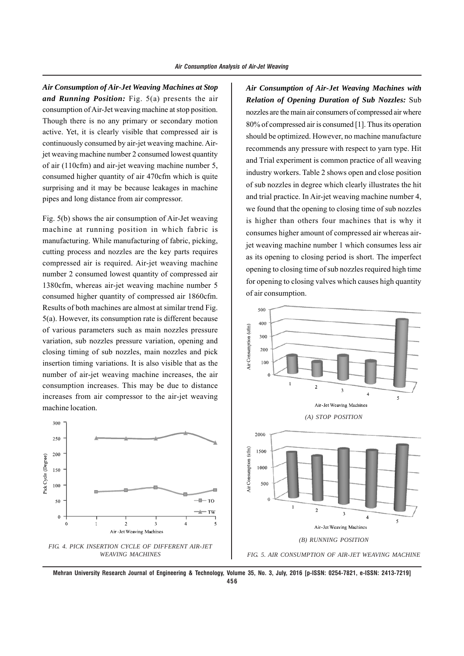*Air Consumption of Air-Jet Weaving Machines at Stop and Running Position:* Fig. 5(a) presents the air consumption of Air-Jet weaving machine at stop position. Though there is no any primary or secondary motion active. Yet, it is clearly visible that compressed air is continuously consumed by air-jet weaving machine. Airjet weaving machine number 2 consumed lowest quantity of air (110cfm) and air-jet weaving machine number 5, consumed higher quantity of air 470cfm which is quite surprising and it may be because leakages in machine pipes and long distance from air compressor.

Fig. 5(b) shows the air consumption of Air-Jet weaving machine at running position in which fabric is manufacturing. While manufacturing of fabric, picking, cutting process and nozzles are the key parts requires compressed air is required. Air-jet weaving machine number 2 consumed lowest quantity of compressed air 1380cfm, whereas air-jet weaving machine number 5 consumed higher quantity of compressed air 1860cfm. Results of both machines are almost at similar trend Fig. 5(a). However, its consumption rate is different because of various parameters such as main nozzles pressure variation, sub nozzles pressure variation, opening and closing timing of sub nozzles, main nozzles and pick insertion timing variations. It is also visible that as the number of air-jet weaving machine increases, the air consumption increases. This may be due to distance increases from air compressor to the air-jet weaving machine location.



*Air Consumption of Air-Jet Weaving Machines with Relation of Opening Duration of Sub Nozzles:* Sub nozzles are the main air consumers of compressed air where 80% of compressed air is consumed [1]. Thus its operation should be optimized. However, no machine manufacture recommends any pressure with respect to yarn type. Hit and Trial experiment is common practice of all weaving industry workers. Table 2 shows open and close position of sub nozzles in degree which clearly illustrates the hit and trial practice. In Air-jet weaving machine number 4, we found that the opening to closing time of sub nozzles is higher than others four machines that is why it consumes higher amount of compressed air whereas airjet weaving machine number 1 which consumes less air as its opening to closing period is short. The imperfect opening to closing time of sub nozzles required high time for opening to closing valves which causes high quantity of air consumption.



**Mehran University Research Journal of Engineering & Technology, Volume 35, No. 3, July, 2016 [p-ISSN: 0254-7821, e-ISSN: 2413-7219] 456**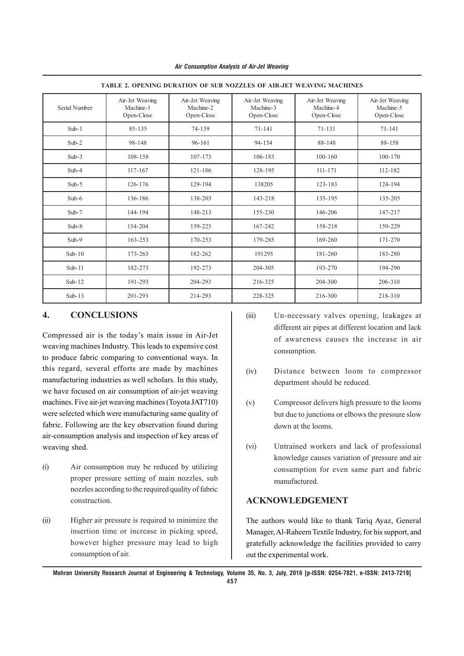|  | Air Consumption Analysis of Air-Jet Weaving |  |  |  |
|--|---------------------------------------------|--|--|--|
|--|---------------------------------------------|--|--|--|

| Serial Number | Air-Jet Weaving<br>Machine-1<br>Open-Close | Air-Jet Weaving<br>Machine-2<br>Open-Close | Air-Jet Weaving<br>Machine-3<br>Open-Close | Air-Jet Weaving<br>Machine-4<br>Open-Close | Air-Jet Weaving<br>Machine-5<br>Open-Close |
|---------------|--------------------------------------------|--------------------------------------------|--------------------------------------------|--------------------------------------------|--------------------------------------------|
| $Sub-1$       | 85-135                                     | 74-139                                     | $71 - 141$                                 | $71 - 131$                                 | $71 - 141$                                 |
| $Sub-2$       | 98-148                                     | $96 - 161$                                 | $94 - 154$                                 | 88-148                                     | 88-158                                     |
| $Sub-3$       | 108-158                                    | 107-173                                    | 106-183<br>$100 - 160$                     |                                            | $100 - 170$                                |
| $Sub-4$       | $117 - 167$                                | 121-186                                    | 128-195                                    | $111 - 171$                                | 112-182                                    |
| $Sub-5$       | 126-176                                    | 129-194                                    | 138205                                     | 123-183                                    | 124-194                                    |
| $Sub-6$       | 136-186                                    | 138-203                                    | 143-218                                    | 135-195                                    | 135-205                                    |
| $Sub-7$       | 144-194                                    | 148-213                                    | 155-230                                    | 146-206                                    | 147-217                                    |
| $Sub-8$       | 154-204                                    | 159-225                                    | 167-242                                    | 158-218                                    | 159-229                                    |
| $Sub-9$       | $163 - 253$                                | 170-253                                    | 179-285                                    | 169-260                                    | 171-270                                    |
| $Sub-10$      | 173-263                                    | 182-262                                    | 191295                                     | 181-260                                    | 183-280                                    |
| $Sub-11$      | 182-273                                    | 192-273                                    | 204-305                                    | 193-270                                    | 194-290                                    |
| Sub- $12$     | 191-293                                    | 204-293                                    | 216-325                                    | 204-300                                    | 206-310                                    |
| $Sub-13$      | 201-293                                    | 214-293                                    | 228-325                                    | 216-300                                    | 218-310                                    |

**TABLE 2. OPENING DURATION OF SUB NOZZLES OF AIR-JET WEAVING MACHINES**

## **4. CONCLUSIONS**

Compressed air is the today's main issue in Air-Jet weaving machines Industry. This leads to expensive cost to produce fabric comparing to conventional ways. In this regard, several efforts are made by machines manufacturing industries as well scholars. In this study, we have focused on air consumption of air-jet weaving machines. Five air-jet weaving machines (Toyota JAT710) were selected which were manufacturing same quality of fabric. Following are the key observation found during air-consumption analysis and inspection of key areas of weaving shed.

- (i) Air consumption may be reduced by utilizing proper pressure setting of main nozzles, sub nozzles according to the required quality of fabric construction.
- (ii) Higher air pressure is required to minimize the insertion time or increase in picking speed, however higher pressure may lead to high consumption of air.
- (iii) Un-necessary valves opening, leakages at different air pipes at different location and lack of awareness causes the increase in air consumption.
- (iv) Distance between loom to compressor department should be reduced.
- (v) Compressor delivers high pressure to the looms but due to junctions or elbows the pressure slow down at the looms.
- (vi) Untrained workers and lack of professional knowledge causes variation of pressure and air consumption for even same part and fabric manufactured.

## **ACKNOWLEDGEMENT**

The authors would like to thank Tariq Ayaz, General Manager, Al-Raheem Textile Industry, for his support, and gratefully acknowledge the facilities provided to carry out the experimental work.

**Mehran University Research Journal of Engineering & Technology, Volume 35, No. 3, July, 2016 [p-ISSN: 0254-7821, e-ISSN: 2413-7219] 457**